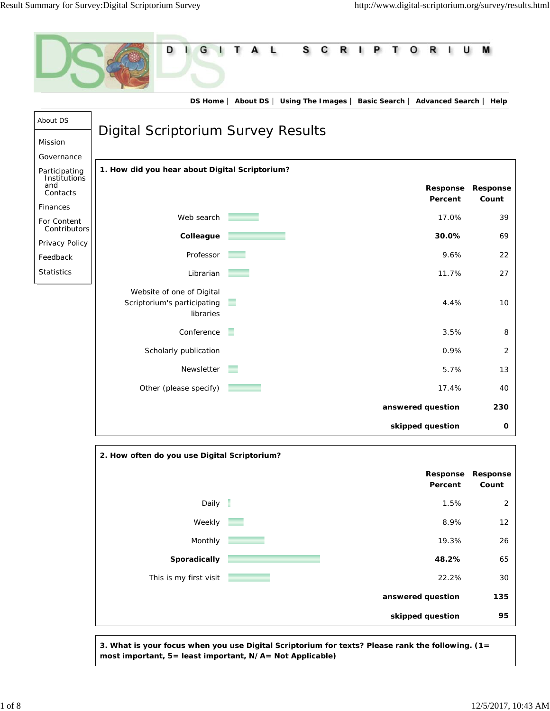



**3. What is your focus when you use Digital Scriptorium for texts? Please rank the following. (1= most important, 5= least important, N/A= Not Applicable)**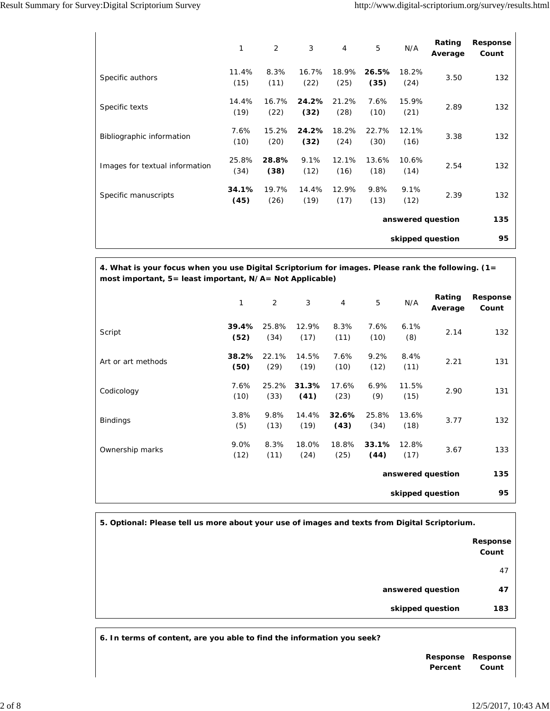$\mathbf{r}$ 

 $\mathbf{I}$ 

|                                | 1             | 2             | 3             | $\overline{4}$ | 5             | N/A           | Rating<br>Average | Response<br>Count |
|--------------------------------|---------------|---------------|---------------|----------------|---------------|---------------|-------------------|-------------------|
| Specific authors               | 11.4%<br>(15) | 8.3%<br>(11)  | 16.7%<br>(22) | 18.9%<br>(25)  | 26.5%<br>(35) | 18.2%<br>(24) | 3.50              | 132               |
| Specific texts                 | 14.4%<br>(19) | 16.7%<br>(22) | 24.2%<br>(32) | 21.2%<br>(28)  | 7.6%<br>(10)  | 15.9%<br>(21) | 2.89              | 132               |
| Bibliographic information      | 7.6%<br>(10)  | 15.2%<br>(20) | 24.2%<br>(32) | 18.2%<br>(24)  | 22.7%<br>(30) | 12.1%<br>(16) | 3.38              | 132               |
| Images for textual information | 25.8%<br>(34) | 28.8%<br>(38) | 9.1%<br>(12)  | 12.1%<br>(16)  | 13.6%<br>(18) | 10.6%<br>(14) | 2.54              | 132               |
| Specific manuscripts           | 34.1%<br>(45) | 19.7%<br>(26) | 14.4%<br>(19) | 12.9%<br>(17)  | 9.8%<br>(13)  | 9.1%<br>(12)  | 2.39              | 132               |
| answered question              |               |               |               |                |               |               |                   | 135               |
| skipped question               |               |               |               |                |               |               |                   |                   |

**4. What is your focus when you use Digital Scriptorium for images. Please rank the following. (1= most important, 5= least important, N/A= Not Applicable)**

|                    | 1             | $\overline{2}$ | 3             | $\overline{4}$ | 5             | N/A           | Rating<br>Average | <b>Response</b><br>Count |
|--------------------|---------------|----------------|---------------|----------------|---------------|---------------|-------------------|--------------------------|
| Script             | 39.4%<br>(52) | 25.8%<br>(34)  | 12.9%<br>(17) | 8.3%<br>(11)   | 7.6%<br>(10)  | 6.1%<br>(8)   | 2.14              | 132                      |
| Art or art methods | 38.2%<br>(50) | 22.1%<br>(29)  | 14.5%<br>(19) | 7.6%<br>(10)   | 9.2%<br>(12)  | 8.4%<br>(11)  | 2.21              | 131                      |
| Codicology         | 7.6%<br>(10)  | 25.2%<br>(33)  | 31.3%<br>(41) | 17.6%<br>(23)  | 6.9%<br>(9)   | 11.5%<br>(15) | 2.90              | 131                      |
| <b>Bindings</b>    | 3.8%<br>(5)   | 9.8%<br>(13)   | 14.4%<br>(19) | 32.6%<br>(43)  | 25.8%<br>(34) | 13.6%<br>(18) | 3.77              | 132                      |
| Ownership marks    | 9.0%<br>(12)  | 8.3%<br>(11)   | 18.0%<br>(24) | 18.8%<br>(25)  | 33.1%<br>(44) | 12.8%<br>(17) | 3.67              | 133                      |
| answered question  |               |                |               |                |               |               | 135               |                          |
|                    |               |                |               |                |               |               | skipped question  | 95                       |

**5. Optional: Please tell us more about your use of images and texts from Digital Scriptorium.**

**Response Count** 47

*answered question* **47** 

*skipped question* **183** 

**6. In terms of content, are you able to find the information you seek?**

**Response Response Percent Count**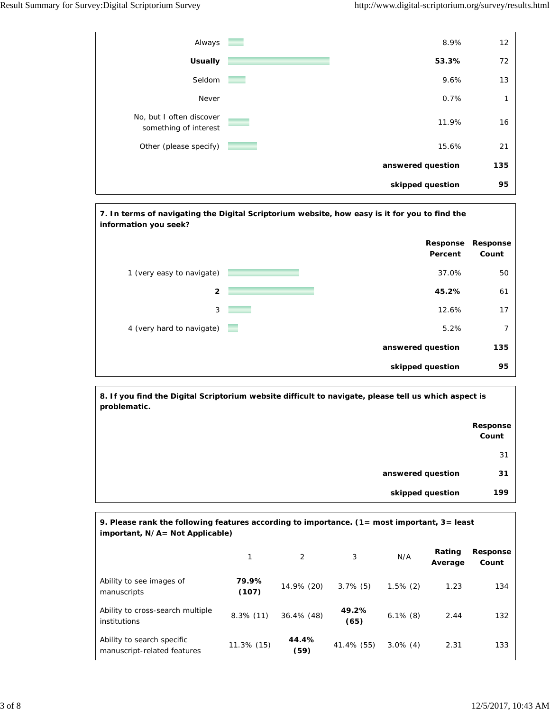



**8. If you find the Digital Scriptorium website difficult to navigate, please tell us which aspect is problematic.**

|                   | <b>Response</b><br>Count |
|-------------------|--------------------------|
|                   | 31                       |
| answered question | 31                       |
| skipped question  |                          |

| 9. Please rank the following features according to importance. $(1 = \text{most important}, 3 = \text{least})$<br>important, N/A= Not Applicable) |                |                |               |             |                   |                   |  |  |  |
|---------------------------------------------------------------------------------------------------------------------------------------------------|----------------|----------------|---------------|-------------|-------------------|-------------------|--|--|--|
|                                                                                                                                                   |                | $\mathfrak{D}$ | 3             | N/A         | Rating<br>Average | Response<br>Count |  |  |  |
| Ability to see images of<br>manuscripts                                                                                                           | 79.9%<br>(107) | 14.9% (20)     | $3.7\%$ (5)   | $1.5\%$ (2) | 1.23              | 134               |  |  |  |
| Ability to cross-search multiple<br>institutions                                                                                                  | $8.3\%$ (11)   | $36.4\%$ (48)  | 49.2%<br>(65) | $6.1\%$ (8) | 2.44              | 132               |  |  |  |
| Ability to search specific<br>manuscript-related features                                                                                         | 11.3% (15)     | 44.4%<br>(59)  | 41.4% (55)    | $3.0\%$ (4) | 2.31              | 133               |  |  |  |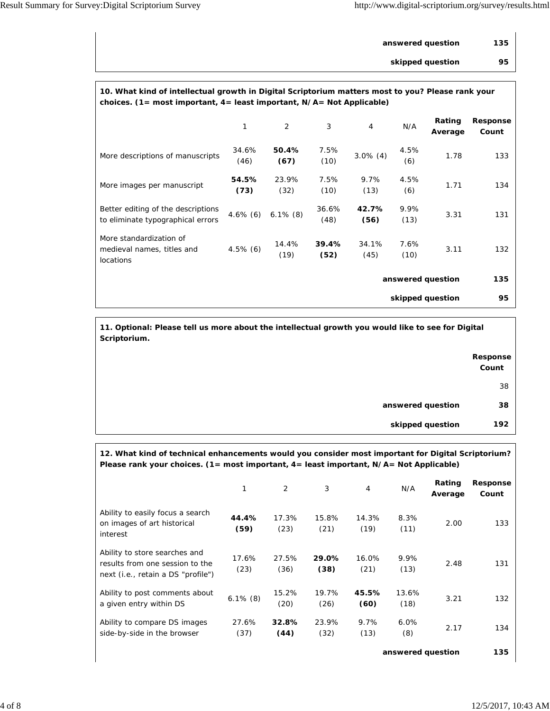| answered question | 135 |
|-------------------|-----|
| skipped question  | 95  |

## **10. What kind of intellectual growth in Digital Scriptorium matters most to you? Please rank your choices. (1= most important, 4= least important, N/A= Not Applicable)**

|                                                                           | 1             | 2             | 3             | $\overline{4}$ | N/A          | Rating<br>Average | Response<br>Count |
|---------------------------------------------------------------------------|---------------|---------------|---------------|----------------|--------------|-------------------|-------------------|
| More descriptions of manuscripts                                          | 34.6%<br>(46) | 50.4%<br>(67) | 7.5%<br>(10)  | $3.0\%$ (4)    | 4.5%<br>(6)  | 1.78              | 133               |
| More images per manuscript                                                | 54.5%<br>(73) | 23.9%<br>(32) | 7.5%<br>(10)  | 9.7%<br>(13)   | 4.5%<br>(6)  | 1.71              | 134               |
| Better editing of the descriptions<br>to eliminate typographical errors   | $4.6\%$ (6)   | $6.1\%$ (8)   | 36.6%<br>(48) | 42.7%<br>(56)  | 9.9%<br>(13) | 3.31              | 131               |
| More standardization of<br>medieval names, titles and<br><b>locations</b> | $4.5\%$ (6)   | 14.4%<br>(19) | 39.4%<br>(52) | 34.1%<br>(45)  | 7.6%<br>(10) | 3.11              | 132               |
| answered question                                                         |               |               |               |                |              | 135               |                   |
| skipped question                                                          |               |               |               |                |              |                   | 95                |

**11. Optional: Please tell us more about the intellectual growth you would like to see for Digital Scriptorium.**

|                   | Response<br>Count |
|-------------------|-------------------|
|                   | 38                |
| answered question | 38                |
| skipped question  | 192               |

**12. What kind of technical enhancements would you consider most important for Digital Scriptorium? Please rank your choices. (1= most important, 4= least important, N/A= Not Applicable)**

|                                                                                                        |               | 2             | 3             | $\overline{4}$ | N/A           | Rating<br>Average | Response<br>Count |
|--------------------------------------------------------------------------------------------------------|---------------|---------------|---------------|----------------|---------------|-------------------|-------------------|
| Ability to easily focus a search<br>on images of art historical<br>interest                            | 44.4%<br>(59) | 17.3%<br>(23) | 15.8%<br>(21) | 14.3%<br>(19)  | 8.3%<br>(11)  | 2.00              | 133               |
| Ability to store searches and<br>results from one session to the<br>next (i.e., retain a DS "profile") | 17.6%<br>(23) | 27.5%<br>(36) | 29.0%<br>(38) | 16.0%<br>(21)  | 9.9%<br>(13)  | 2.48              | 131               |
| Ability to post comments about<br>a given entry within DS                                              | $6.1\%$ (8)   | 15.2%<br>(20) | 19.7%<br>(26) | 45.5%<br>(60)  | 13.6%<br>(18) | 3.21              | 132               |
| Ability to compare DS images<br>side-by-side in the browser                                            | 27.6%<br>(37) | 32.8%<br>(44) | 23.9%<br>(32) | 9.7%<br>(13)   | 6.0%<br>(8)   | 2.17              | 134               |

*answered question* **135**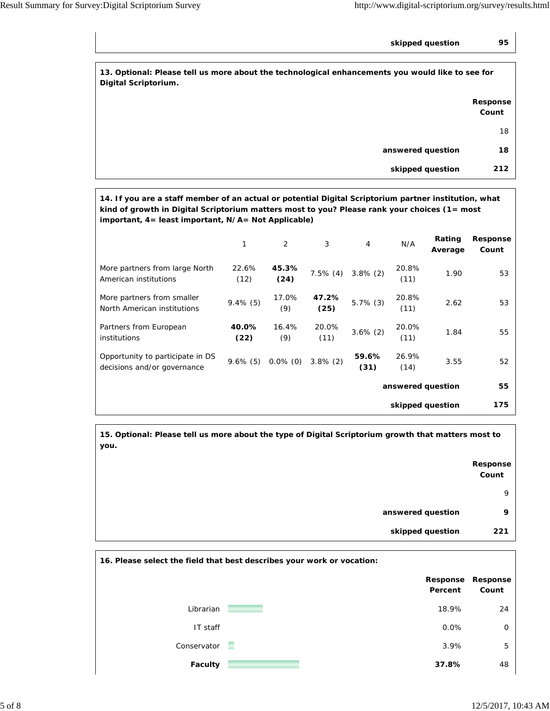*skipped question* **95** 

**13. Optional: Please tell us more about the technological enhancements you would like to see for Digital Scriptorium.**

|                   | Response<br>Count |
|-------------------|-------------------|
|                   | 18                |
| answered question | 18                |
| skipped question  | 212               |

**14. If you are a staff member of an actual or potential Digital Scriptorium partner institution, what kind of growth in Digital Scriptorium matters most to you? Please rank your choices (1= most important, 4= least important, N/A= Not Applicable)**

|                                                                 | 1             | $\overline{2}$ | 3             | $\overline{4}$    | N/A              | Rating<br>Average | Response<br>Count |
|-----------------------------------------------------------------|---------------|----------------|---------------|-------------------|------------------|-------------------|-------------------|
| More partners from large North<br>American institutions         | 22.6%<br>(12) | 45.3%<br>(24)  | $7.5\%$ (4)   | $3.8\%$ (2)       | 20.8%<br>(11)    | 1.90              | 53                |
| More partners from smaller<br>North American institutions       | $9.4\%$ (5)   | 17.0%<br>(9)   | 47.2%<br>(25) | $5.7\%$ (3)       | 20.8%<br>(11)    | 2.62              | 53                |
| Partners from European<br>institutions                          | 40.0%<br>(22) | 16.4%<br>(9)   | 20.0%<br>(11) | $3.6\%$ (2)       | 20.0%<br>(11)    | 1.84              | 55                |
| Opportunity to participate in DS<br>decisions and/or governance | $9.6\%$ (5)   | $0.0\%$ (0)    | $3.8\%$ (2)   | 59.6%<br>(31)     | 26.9%<br>(14)    | 3.55              | 52                |
|                                                                 |               |                |               | answered question | 55               |                   |                   |
|                                                                 |               |                |               |                   | skipped question |                   | 175               |

**15. Optional: Please tell us more about the type of Digital Scriptorium growth that matters most to you.**

|                   | Response<br>Count |
|-------------------|-------------------|
|                   | 9                 |
| answered question | 9                 |
| skipped question  | 221               |

| 16. Please select the field that best describes your work or vocation: |   |                     |                   |
|------------------------------------------------------------------------|---|---------------------|-------------------|
|                                                                        |   | Response<br>Percent | Response<br>Count |
| Librarian                                                              |   | 18.9%               | 24                |
| IT staff                                                               |   | 0.0%                | $\Omega$          |
| Conservator                                                            | ۰ | 3.9%                | 5                 |
| <b>Faculty</b>                                                         |   | 37.8%               | 48                |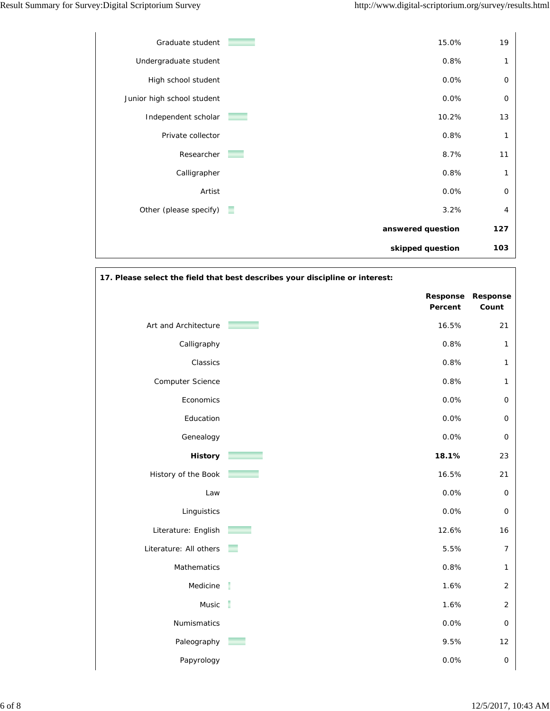

| 17. Please select the field that best describes your discipline or interest: |                     |                     |  |
|------------------------------------------------------------------------------|---------------------|---------------------|--|
|                                                                              | Response<br>Percent | Response<br>Count   |  |
| Art and Architecture                                                         | 16.5%               | 21                  |  |
| Calligraphy                                                                  | 0.8%                | $\mathbf{1}$        |  |
| Classics                                                                     | 0.8%                | $\mathbf{1}$        |  |
| Computer Science                                                             | 0.8%                | $\mathbf{1}$        |  |
| Economics                                                                    | 0.0%                | $\mathsf{O}\xspace$ |  |
| Education                                                                    | 0.0%                | $\mathsf{O}\xspace$ |  |
| Genealogy                                                                    | 0.0%                | $\mathsf{O}\xspace$ |  |
| <b>History</b>                                                               | 18.1%               | 23                  |  |
| History of the Book                                                          | 16.5%               | 21                  |  |
| Law                                                                          | 0.0%                | $\mathsf O$         |  |
| Linguistics                                                                  | 0.0%                | $\mathsf O$         |  |
| Literature: English                                                          | 12.6%               | 16                  |  |
| Literature: All others                                                       | 5.5%                | $\boldsymbol{7}$    |  |
| Mathematics                                                                  | 0.8%                | $\mathbf{1}$        |  |
| Medicine                                                                     | ı<br>1.6%           | $\overline{2}$      |  |
| Music                                                                        | t<br>1.6%           | $\sqrt{2}$          |  |
| Numismatics                                                                  | 0.0%                | $\mathsf{O}\xspace$ |  |
| Paleography                                                                  | 9.5%                | 12                  |  |
| Papyrology                                                                   | 0.0%                | $\mathsf O$         |  |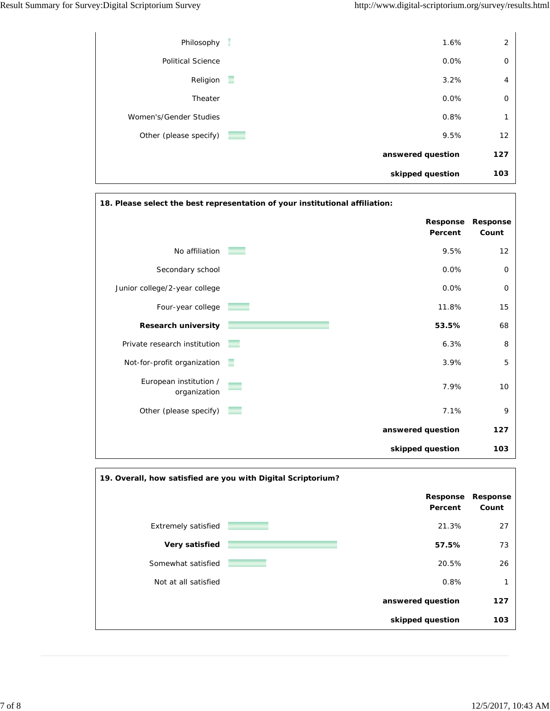|                          | skipped question  | 103            |
|--------------------------|-------------------|----------------|
|                          | answered question | 127            |
| Other (please specify)   | 9.5%              | 12             |
| Women's/Gender Studies   | 0.8%              | 1              |
| Theater                  | $0.0\%$           | $\mathbf 0$    |
| Religion                 | 3.2%<br>÷         | $\overline{4}$ |
| <b>Political Science</b> | $0.0\%$           | $\mathbf 0$    |
| Philosophy               | 1.6%              | 2              |
|                          |                   |                |